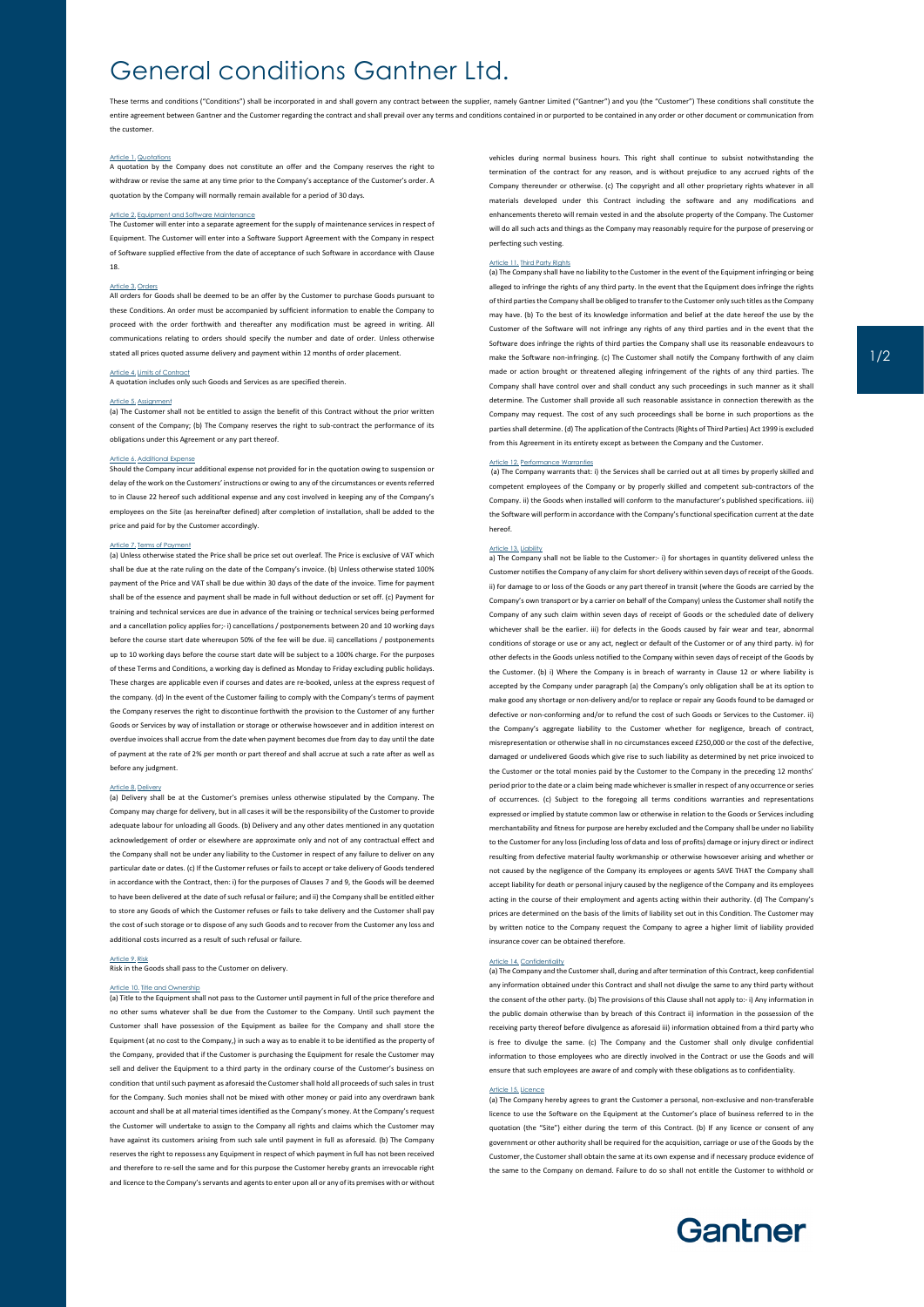## General conditions Gantner Ltd.

These terms and conditions ("Conditions") shall be incorporated in and shall govern any contract between the supplier, namely Gantner Limited ("Gantner") and you (the "Customer") These conditions shall constitute the entire agreement between Gantner and the Customer regarding the contract and shall prevail over any terms and conditions contained in or purported to be contained in any order or other document or communication from the customer.

#### Article 1. Quotation

A quotation by the Company does not constitute an offer and the Company reserves the right to withdraw or revise the same at any time prior to the Company's acceptance of the Customer's order. A quotation by the Company will normally remain available for a period of 30 days.

## Article 2. Equipment and Software Maintenance

The Customer will enter into a separate agreement for the supply of maintenance services in respect of Equipment. The Customer will enter into a Software Support Agreement with the Company in respect of Software supplied effective from the date of acceptance of such Software in accordance with Clause 18.

Article 3. Orders<br>All orders for Goods shall be deemed to be an offer by the Customer to purchase Goods pursuant to these Conditions. An order must be accompanied by sufficient information to enable the Company to proceed with the order forthwith and thereafter any modification must be agreed in writing. All communications relating to orders should specify the number and date of order. Unless otherwise stated all prices quoted assume delivery and payment within 12 months of order place

#### Article 4. Limits of Contract

A quotation includes only such Goods and Services as are specified therein.

#### Article 5. Assignment

(a) The Customer shall not be entitled to assign the benefit of this Contract without the prior written consent of the Company; (b) The Company reserves the right to sub-contract the performance of its obligations under this Agreement or any part thereof.

<u>Article 6. Additional Expense</u><br>Should the Company incur additional expense not provided for in the quotation owing to suspension or delay of the work on the Customers' instructions or owing to any of the circumstances or events referred to in Clause 22 hereof such additional expense and any cost involved in keeping any of the Company's employees on the Site (as hereinafter defined) after completion of installation, shall be added to the price and paid for by the Customer accordingly.

### le 7. Terms of Pa

(a) Unless otherwise stated the Price shall be price set out overleaf. The Price is exclusive of VAT which shall be due at the rate ruling on the date of the Company's invoice. (b) Unless otherwise stated 100% payment of the Price and VAT shall be due within 30 days of the date of the invoice. Time for payment shall be of the essence and payment shall be made in full without deduction or set off. (c) Payment for training and technical services are due in advance of the training or technical services being performed and a cancellation policy applies for;- i) cancellations / postponements between 20 and 10 working days before the course start date whereupon 50% of the fee will be due. ii) cancellations / postponements up to 10 working days before the course start date will be subject to a 100% charge. For the purposes of these Terms and Conditions, a working day is defined as Monday to Friday excluding public holidays. These charges are applicable even if courses and dates are re-booked, unless at the express request of the company. (d) In the event of the Customer failing to comply with the Company's terms of payment the Company reserves the right to discontinue forthwith the provision to the Customer of any further Goods or Services by way of installation or storage or otherwise howsoever and in addition interest on overdue invoices shall accrue from the date when payment becomes due from day to day until the date of payment at the rate of 2% per month or part thereof and shall accrue at such a rate after as well as before any judgment.

Article 8. Delivery<br>(a) Delivery shall be at the Customer's premises unless otherwise stipulated by the Company. The Company may charge for delivery, but in all cases it will be the responsibility of the Customer to provide adequate labour for unloading all Goods. (b) Delivery and any other dates mentioned in any quotation acknowledgement of order or elsewhere are approximate only and not of any contractual effect and the Company shall not be under any liability to the Customer in respect of any failure to deliver on any particular date or dates. (c) If the Customer refuses or fails to accept or take delivery of Goods tendered in accordance with the Contract, then: i) for the purposes of Clauses 7 and 9, the Goods will be deemed to have been delivered at the date of such refusal or failure; and ii) the Company shall be entitled either to store any Goods of which the Customer refuses or fails to take delivery and the Customer shall pay the cost of such storage or to dispose of any such Goods and to recover from the Customer any loss and additional costs incurred as a result of such refusal or failure.

## e 9. Risk

Risk in the Goods shall pass to the Customer on delivery.

## Article 10. Title and Ownership

(a) Title to the Equipment shall not pass to the Customer until payment in full of the price therefore and no other sums whatever shall be due from the Customer to the Company. Until such payment the Customer shall have possession of the Equipment as bailee for the Company and shall store the Equipment (at no cost to the Company,) in such a way as to enable it to be identified as the property of the Company, provided that if the Customer is purchasing the Equipment for resale the Customer may sell and deliver the Equipment to a third party in the ordinary course of the Customer's business on condition that until such payment as aforesaid the Customer shall hold all proceeds of such sales in trust for the Company. Such monies shall not be mixed with other money or paid into any overdrawn bank account and shall be at all material times identified as the Company's money. At the Company's request the Customer will undertake to assign to the Company all rights and claims which the Customer may have against its customers arising from such sale until payment in full as aforesaid. (b) The Company reserves the right to repossess any Equipment in respect of which payment in full has not been received and therefore to re-sell the same and for this purpose the Customer hereby grants an irrevocable right and licence to the Company's servants and agents to enter upon all or any of its premises with or without

vehicles during normal business hours. This right shall continue to subsist notwithstanding the termination of the contract for any reason, and is without prejudice to any accrued rights of the Company thereunder or otherwise. (c) The copyright and all other proprietary rights whatever in all erials developed under this Contract including the software and any modifications and enhancements thereto will remain vested in and the absolute property of the Company. The Customer will do all such acts and things as the Company may reasonably require for the purpose of preserving or perfecting such vesting.

## **Re 11. Third Party Rights**

(a) The Company shall have no liability to the Customer in the event of the Equipment infringing or being alleged to infringe the rights of any third party. In the event that the Equipment does infringe the rights of third parties the Company shall be obliged to transfer to the Customer only such titles as the Company may have. (b) To the best of its knowledge information and belief at the date hereof the use by the Customer of the Software will not infringe any rights of any third parties and in the event that the Software does infringe the rights of third parties the Company shall use its reasonable endeavours to make the Software non-infringing. (c) The Customer shall notify the Company forthwith of any claim made or action brought or threatened alleging infringement of the rights of any third parties. The Company shall have control over and shall conduct any such proceedings in such manner as it shall determine. The Customer shall provide all such reasonable assistance in connection therewith as the Company may request. The cost of any such proceedings shall be borne in such proportions as the parties shall determine. (d) The application of the Contracts (Rights of Third Parties) Act 1999 is excluded from this Agreement in its entirety except as between the Company and the Customer.

#### icle 12. Performance Warrant

(a) The Company warrants that: i) the Services shall be carried out at all times by properly skilled and competent employees of the Company or by properly skilled and competent sub-contractors of the Company. ii) the Goods when installed will conform to the manufacturer's published specifications. iii) the Software will perform in accordance with the Company's functional specification current at the date hereof.

Article 13. Liability<br>a) The Company shall not be liable to the Customer:- i) for shortages in quantity delivered unless the Customer notifies the Company of any claim for short delivery within seven days of receipt of the Goods. ii) for damage to or loss of the Goods or any part thereof in transit (where the Goods are carried by the Company's own transport or by a carrier on behalf of the Company) unless the Customer shall notify the Company of any such claim within seven days of receipt of Goods or the scheduled date of delivery whichever shall be the earlier. iii) for defects in the Goods caused by fair wear and tear, abnormal conditions of storage or use or any act, neglect or default of the Customer or of any third party. iv) for other defects in the Goods unless notified to the Company within seven days of receipt of the Goods by the Customer. (b) i) Where the Company is in breach of warranty in Clause 12 or where liability is accepted by the Company under paragraph (a) the Company's only obligation shall be at its option to make good any shortage or non-delivery and/or to replace or repair any Goods found to be damaged or defective or non-conforming and/or to refund the cost of such Goods or Services to the Customer. ii) the Company's aggregate liability to the Customer whether for negligence, breach of contract, misrepresentation or otherwise shall in no circumstances exceed £250,000 or the cost of the defective, damaged or undelivered Goods which give rise to such liability as determined by net price invoiced to the Customer or the total monies paid by the Customer to the Company in the preceding 12 months' period prior to the date or a claim being made whichever is smaller in respect of any occurrence or series of occurrences. (c) Subject to the foregoing all terms conditions warranties and representations expressed or implied by statute common law or otherwise in relation to the Goods or Services including merchantability and fitness for purpose are hereby excluded and the Company shall be under no liability to the Customer for any loss (including loss of data and loss of profits) damage or injury direct or indirect resulting from defective material faulty workmanship or otherwise howsoever arising and whether or not caused by the negligence of the Company its employees or agents SAVE THAT the Company shall accept liability for death or personal injury caused by the negligence of the Company and its employees acting in the course of their employment and agents acting within their authority. (d) The Company's prices are determined on the basis of the limits of liability set out in this Condition. The Customer may by written notice to the Company request the Company to agree a higher limit of liability provided insurance cover can be obtained therefore.

## Article 14. Confidentiality

(a) The Company and the Customer shall, during and after termination of this Contract, keep co any information obtained under this Contract and shall not divulge the same to any third party without the consent of the other party. (b) The provisions of this Clause shall not apply to:- i) Any information in the public domain otherwise than by breach of this Contract ii) information in the possession of the receiving party thereof before divulgence as aforesaid iii) information obtained from a third party who is free to divulge the same. (c) The Company and the Customer shall only divulge confidential information to those employees who are directly involved in the Contract or use the Goods and will ensure that such employees are aware of and comply with these obligations as to confidentiality.

#### Article 15. Licence

(a) The Company hereby agrees to grant the Customer a personal, non-exclusive and non-transferable licence to use the Software on the Equipment at the Customer's place of business referred to in the quotation (the "Site") either during the term of this Contract. (b) If any licence or consent of any government or other authority shall be required for the acquisition, carriage or use of the Goods by the Customer, the Customer shall obtain the same at its own expense and if necessary produce evidence of the same to the Company on demand. Failure to do so shall not entitle the Customer to withhold or